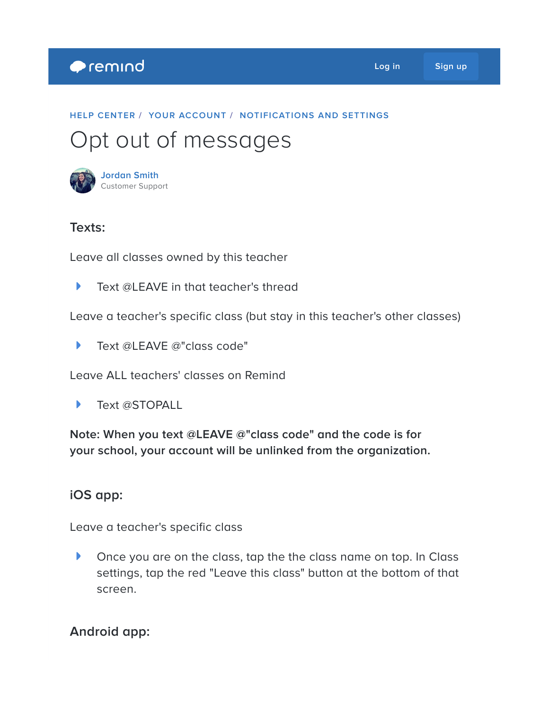## **Premind**

#### **HELP [CENTER](https://help.remind.com/hc/en-us) / YOUR [ACCOUNT](https://help.remind.com/hc/en-us/categories/115000065224-Your-account) / [NOTIFICATIONS](https://help.remind.com/hc/en-us/sections/115000000850-Notifications-and-settings) AND SETTINGS**

# Opt out of messages



## **Texts:**

Leave all classes owned by this teacher

Þ Text @LEAVE in that teacher's thread

Leave a teacher's specific class (but stay in this teacher's other classes)

 $\blacktriangleright$ Text @LEAVE @"class code"

Leave ALL teachers' classes on Remind

Text @STOPALL Þ

**Note: When you text @LEAVE @"class code" and the code is for your school, your account will be unlinked from the organization.**

## **iOS app:**

Leave a teacher's specific class

 $\blacktriangleright$ Once you are on the class, tap the the class name on top. In Class settings, tap the red "Leave this class" button at the bottom of that screen.

## **Android app:**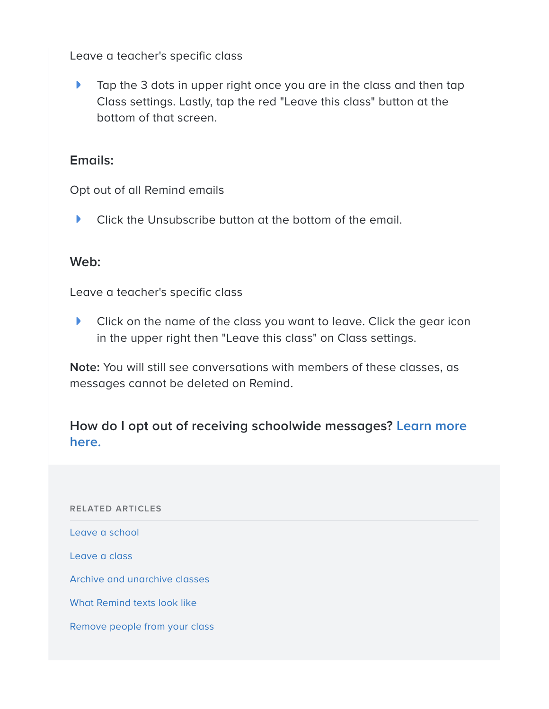Leave a teacher's specific class

 $\blacktriangleright$ Tap the 3 dots in upper right once you are in the class and then tap Class settings. Lastly, tap the red "Leave this class" button at the bottom of that screen.

### **Emails:**

Opt out of all Remind emails

 $\blacktriangleright$ Click the Unsubscribe button at the bottom of the email.

#### **Web:**

Leave a teacher's specific class

 $\blacktriangleright$ Click on the name of the class you want to leave. Click the gear icon in the upper right then "Leave this class" on Class settings.

**Note:** You will still see conversations with members of these classes, as messages cannot be deleted on Remind.

## **How do I opt out of receiving [schoolwide](https://help.remind.com/hc/en-us/articles/210769866) messages? Learn more here.**

**RELATED ARTICLES** Leave a [school](https://help.remind.com/hc/en-us/related/click?data=BAh7CjobZGVzdGluYXRpb25fYXJ0aWNsZV9pZGkEyheQDDoYcmVmZXJyZXJfYXJ0aWNsZV9pZGkEqIcSDDoLbG9jYWxlSSIKZW4tdXMGOgZFVDoIdXJsSSIwL2hjL2VuLXVzL2FydGljbGVzLzIxMDc2OTg2Ni1MZWF2ZS1hLXNjaG9vbAY7CFQ6CXJhbmtpBg%3D%3D--f6be148dd9238fc7f11ac6c6942624a3c2229cff) [Leave](https://help.remind.com/hc/en-us/related/click?data=BAh7CjobZGVzdGluYXRpb25fYXJ0aWNsZV9pZGkEnQv6CzoYcmVmZXJyZXJfYXJ0aWNsZV9pZGkEqIcSDDoLbG9jYWxlSSIKZW4tdXMGOgZFVDoIdXJsSSIvL2hjL2VuLXVzL2FydGljbGVzLzIwMDkzNjM0OS1MZWF2ZS1hLWNsYXNzBjsIVDoJcmFua2kH--8883bb45f7701f662eaa98ef658cdc6b02ab0b09) a class Archive and [unarchive](https://help.remind.com/hc/en-us/related/click?data=BAh7CjobZGVzdGluYXRpb25fYXJ0aWNsZV9pZGkE3iufDDoYcmVmZXJyZXJfYXJ0aWNsZV9pZGkEqIcSDDoLbG9jYWxlSSIKZW4tdXMGOgZFVDoIdXJsSSI%2FL2hjL2VuLXVzL2FydGljbGVzLzIxMTc1ODA0Ni1BcmNoaXZlLWFuZC11bmFyY2hpdmUtY2xhc3NlcwY7CFQ6CXJhbmtpCA%3D%3D--7d3851a673eafd8f86dc5369f1331d41b15815dd) classes What [Remind](https://help.remind.com/hc/en-us/related/click?data=BAh7CjobZGVzdGluYXRpb25fYXJ0aWNsZV9pZGkEuVsvDDoYcmVmZXJyZXJfYXJ0aWNsZV9pZGkEqIcSDDoLbG9jYWxlSSIKZW4tdXMGOgZFVDoIdXJsSSI9L2hjL2VuLXVzL2FydGljbGVzLzIwNDQzMDI2NS1XaGF0LVJlbWluZC10ZXh0cy1sb29rLWxpa2UGOwhUOglyYW5raQk%3D--00d1e5f6555cc91c2335e20a8e317abfe2fe9912) texts look like [Remove](https://help.remind.com/hc/en-us/related/click?data=BAh7CjobZGVzdGluYXRpb25fYXJ0aWNsZV9pZGkEKUccDDoYcmVmZXJyZXJfYXJ0aWNsZV9pZGkEqIcSDDoLbG9jYWxlSSIKZW4tdXMGOgZFVDoIdXJsSSI%2FL2hjL2VuLXVzL2FydGljbGVzLzIwMzE3OTgxNy1SZW1vdmUtcGVvcGxlLWZyb20teW91ci1jbGFzcwY7CFQ6CXJhbmtpCg%3D%3D--0900eccf59382c8b02f02434afe7ca4ca7041a7a) people from your class